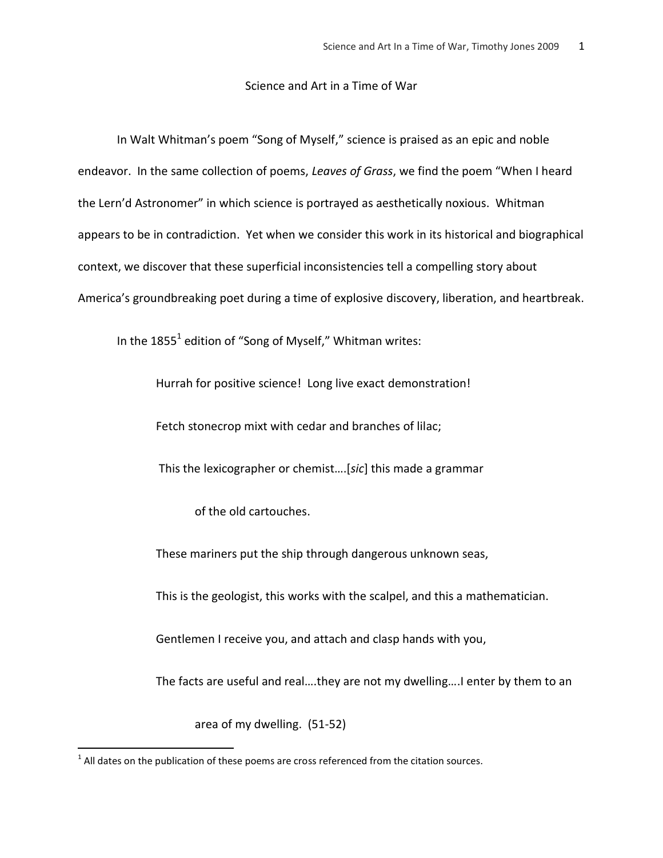## Science and Art in a Time of War

In Walt Whitman's poem "Song of Myself," science is praised as an epic and noble endeavor. In the same collection of poems, *Leaves of Grass*, we find the poem "When I heard the Lern'd Astronomer" in which science is portrayed as aesthetically noxious. Whitman appears to be in contradiction. Yet when we consider this work in its historical and biographical context, we discover that these superficial inconsistencies tell a compelling story about America's groundbreaking poet during a time of explosive discovery, liberation, and heartbreak.

In the 1855<sup>1</sup> edition of "Song of Myself," Whitman writes:

Hurrah for positive science! Long live exact demonstration!

Fetch stonecrop mixt with cedar and branches of lilac;

This the lexicographer or chemist....[sic] this made a grammar

of the old cartouches.

These mariners put the ship through dangerous unknown seas,

This is the geologist, this works with the scalpel, and this a mathematician.

Gentlemen I receive you, and attach and clasp hands with you,

The facts are useful and real….they are not my dwelling….I enter by them to an

area of my dwelling. (51-52)

l

 $<sup>1</sup>$  All dates on the publication of these poems are cross referenced from the citation sources.</sup>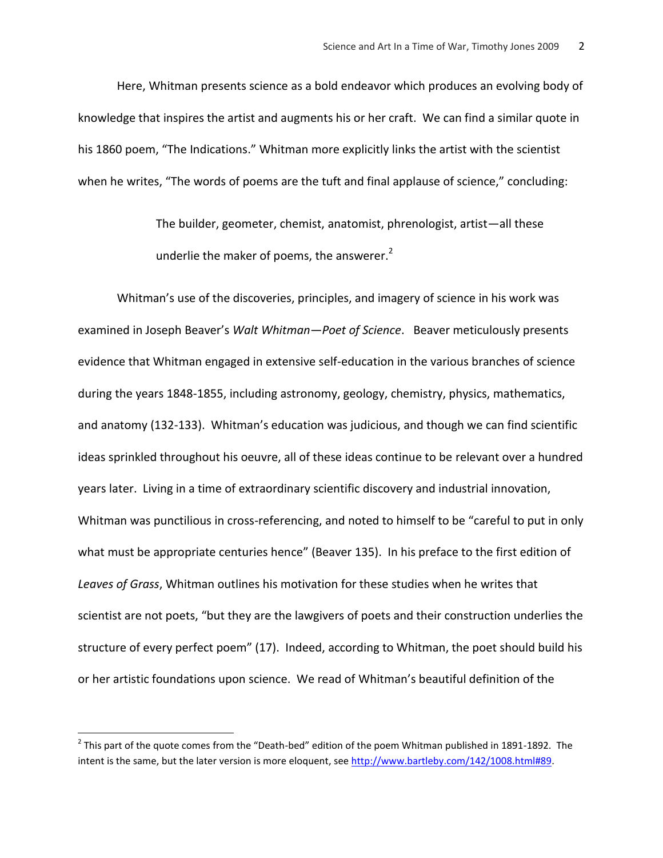Here, Whitman presents science as a bold endeavor which produces an evolving body of knowledge that inspires the artist and augments his or her craft. We can find a similar quote in his 1860 poem, "The Indications." Whitman more explicitly links the artist with the scientist when he writes, "The words of poems are the tuft and final applause of science," concluding:

> The builder, geometer, chemist, anatomist, phrenologist, artist—all these underlie the maker of poems, the answerer. $<sup>2</sup>$ </sup>

Whitman's use of the discoveries, principles, and imagery of science in his work was examined in Joseph Beaver's *Walt Whitman—Poet of Science*. Beaver meticulously presents evidence that Whitman engaged in extensive self-education in the various branches of science during the years 1848-1855, including astronomy, geology, chemistry, physics, mathematics, and anatomy (132-133). Whitman's education was judicious, and though we can find scientific ideas sprinkled throughout his oeuvre, all of these ideas continue to be relevant over a hundred years later. Living in a time of extraordinary scientific discovery and industrial innovation, Whitman was punctilious in cross-referencing, and noted to himself to be "careful to put in only what must be appropriate centuries hence" (Beaver 135). In his preface to the first edition of *Leaves of Grass*, Whitman outlines his motivation for these studies when he writes that scientist are not poets, "but they are the lawgivers of poets and their construction underlies the structure of every perfect poem" (17). Indeed, according to Whitman, the poet should build his or her artistic foundations upon science. We read of Whitman's beautiful definition of the

 $\overline{\phantom{a}}$ 

 $^2$  This part of the quote comes from the "Death-bed" edition of the poem Whitman published in 1891-1892. The intent is the same, but the later version is more eloquent, se[e http://www.bartleby.com/142/1008.html#89.](http://www.bartleby.com/142/1008.html#89)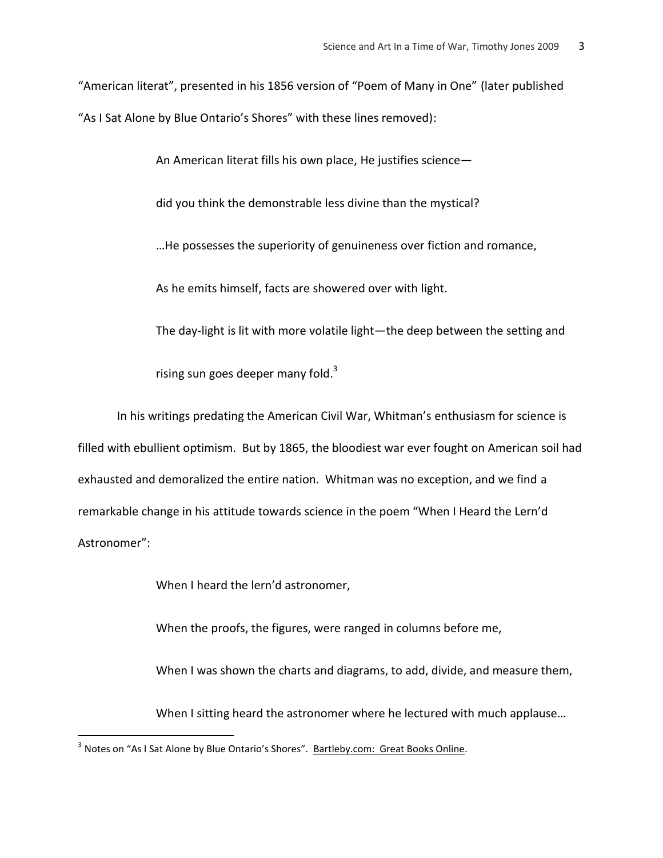"American literat", presented in his 1856 version of "Poem of Many in One" (later published "As I Sat Alone by Blue Ontario's Shores" with these lines removed):

An American literat fills his own place, He justifies science—

did you think the demonstrable less divine than the mystical?

…He possesses the superiority of genuineness over fiction and romance,

As he emits himself, facts are showered over with light.

The day-light is lit with more volatile light—the deep between the setting and

rising sun goes deeper many fold.<sup>3</sup>

In his writings predating the American Civil War, Whitman's enthusiasm for science is filled with ebullient optimism. But by 1865, the bloodiest war ever fought on American soil had exhausted and demoralized the entire nation. Whitman was no exception, and we find a remarkable change in his attitude towards science in the poem "When I Heard the Lern'd Astronomer":

When I heard the lern'd astronomer,

When the proofs, the figures, were ranged in columns before me,

When I was shown the charts and diagrams, to add, divide, and measure them,

When I sitting heard the astronomer where he lectured with much applause…

l

<sup>&</sup>lt;sup>3</sup> Notes on "As I Sat Alone by Blue Ontario's Shores". <u>Bartleby.com: Great Books Online</u>.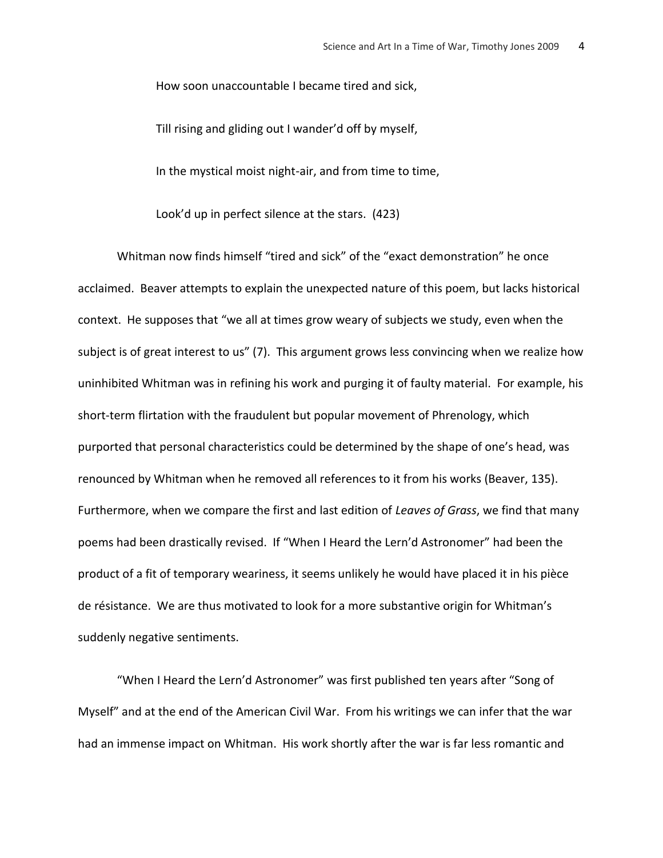How soon unaccountable I became tired and sick,

Till rising and gliding out I wander'd off by myself,

In the mystical moist night-air, and from time to time,

Look'd up in perfect silence at the stars. (423)

Whitman now finds himself "tired and sick" of the "exact demonstration" he once acclaimed. Beaver attempts to explain the unexpected nature of this poem, but lacks historical context. He supposes that "we all at times grow weary of subjects we study, even when the subject is of great interest to us" (7). This argument grows less convincing when we realize how uninhibited Whitman was in refining his work and purging it of faulty material. For example, his short-term flirtation with the fraudulent but popular movement of Phrenology, which purported that personal characteristics could be determined by the shape of one's head, was renounced by Whitman when he removed all references to it from his works (Beaver, 135). Furthermore, when we compare the first and last edition of *Leaves of Grass*, we find that many poems had been drastically revised. If "When I Heard the Lern'd Astronomer" had been the product of a fit of temporary weariness, it seems unlikely he would have placed it in his pièce de résistance. We are thus motivated to look for a more substantive origin for Whitman's suddenly negative sentiments.

"When I Heard the Lern'd Astronomer" was first published ten years after "Song of Myself" and at the end of the American Civil War. From his writings we can infer that the war had an immense impact on Whitman. His work shortly after the war is far less romantic and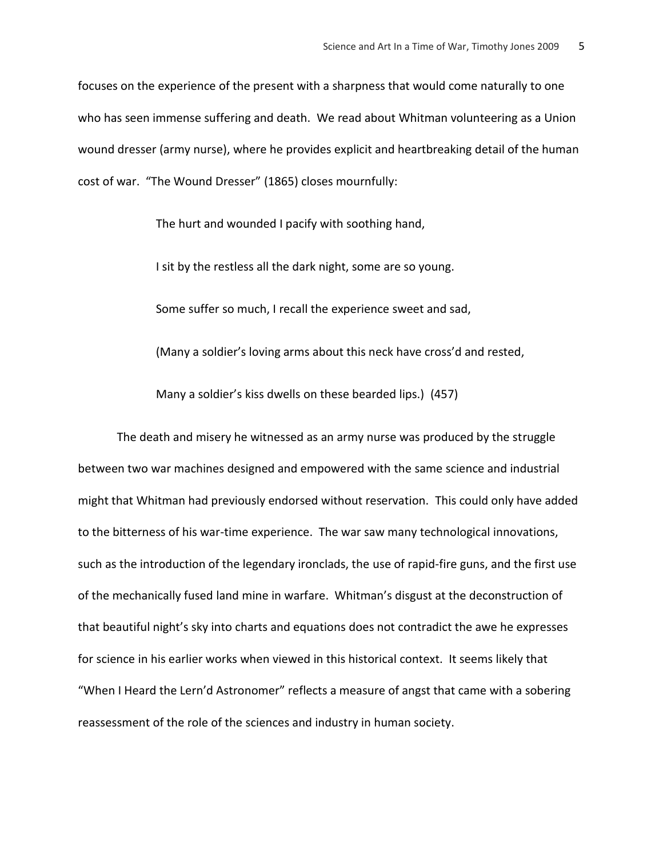focuses on the experience of the present with a sharpness that would come naturally to one who has seen immense suffering and death. We read about Whitman volunteering as a Union wound dresser (army nurse), where he provides explicit and heartbreaking detail of the human cost of war. "The Wound Dresser" (1865) closes mournfully:

The hurt and wounded I pacify with soothing hand,

I sit by the restless all the dark night, some are so young.

Some suffer so much, I recall the experience sweet and sad,

(Many a soldier's loving arms about this neck have cross'd and rested,

Many a soldier's kiss dwells on these bearded lips.) (457)

The death and misery he witnessed as an army nurse was produced by the struggle between two war machines designed and empowered with the same science and industrial might that Whitman had previously endorsed without reservation. This could only have added to the bitterness of his war-time experience. The war saw many technological innovations, such as the introduction of the legendary ironclads, the use of rapid-fire guns, and the first use of the mechanically fused land mine in warfare. Whitman's disgust at the deconstruction of that beautiful night's sky into charts and equations does not contradict the awe he expresses for science in his earlier works when viewed in this historical context. It seems likely that "When I Heard the Lern'd Astronomer" reflects a measure of angst that came with a sobering reassessment of the role of the sciences and industry in human society.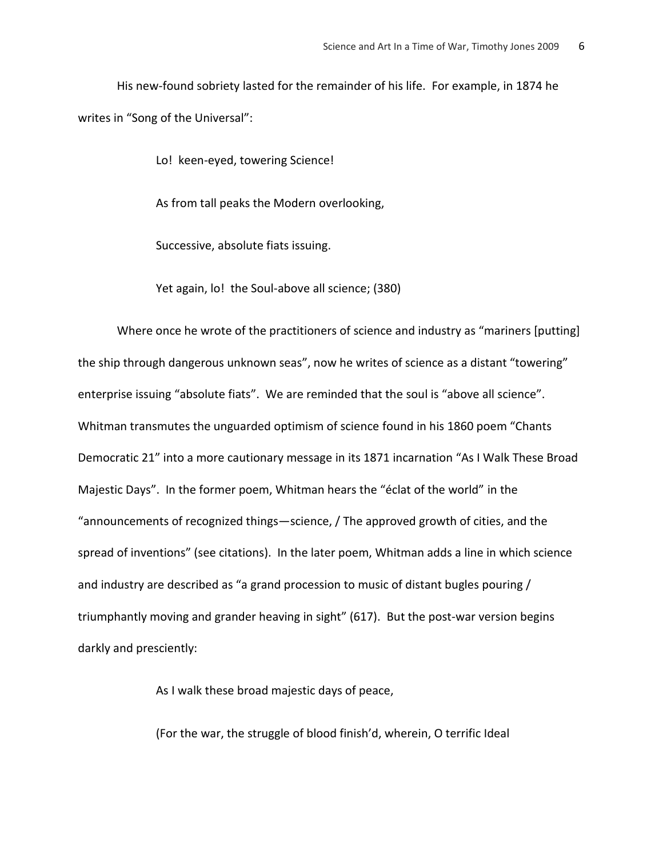His new-found sobriety lasted for the remainder of his life. For example, in 1874 he writes in "Song of the Universal":

Lo! keen-eyed, towering Science!

As from tall peaks the Modern overlooking,

Successive, absolute fiats issuing.

Yet again, lo! the Soul-above all science; (380)

Where once he wrote of the practitioners of science and industry as "mariners [putting] the ship through dangerous unknown seas", now he writes of science as a distant "towering" enterprise issuing "absolute fiats". We are reminded that the soul is "above all science". Whitman transmutes the unguarded optimism of science found in his 1860 poem "Chants Democratic 21" into a more cautionary message in its 1871 incarnation "As I Walk These Broad Majestic Days". In the former poem, Whitman hears the "éclat of the world" in the "announcements of recognized things—science, / The approved growth of cities, and the spread of inventions" (see citations). In the later poem, Whitman adds a line in which science and industry are described as "a grand procession to music of distant bugles pouring / triumphantly moving and grander heaving in sight" (617). But the post-war version begins darkly and presciently:

As I walk these broad majestic days of peace,

(For the war, the struggle of blood finish'd, wherein, O terrific Ideal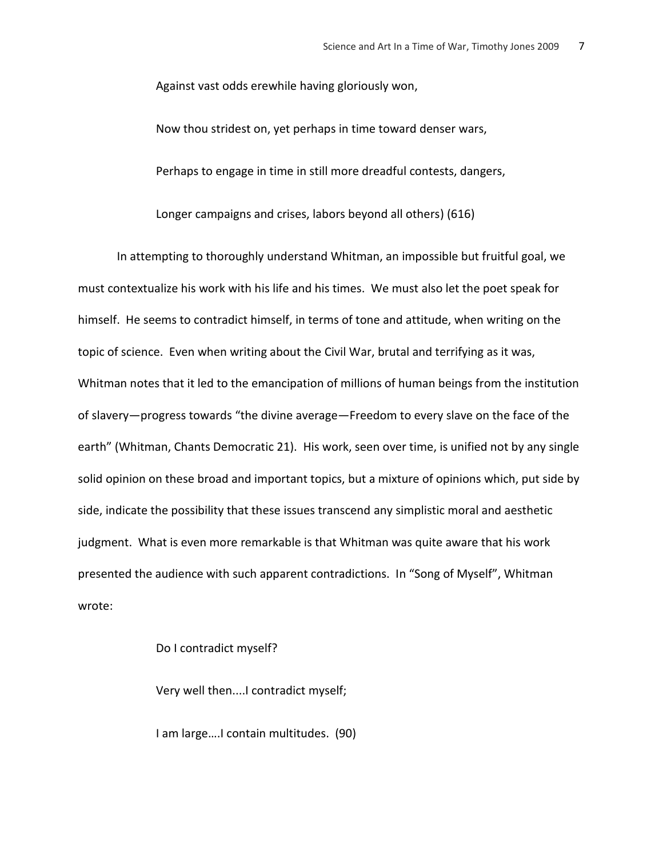Against vast odds erewhile having gloriously won,

Now thou stridest on, yet perhaps in time toward denser wars,

Perhaps to engage in time in still more dreadful contests, dangers,

Longer campaigns and crises, labors beyond all others) (616)

In attempting to thoroughly understand Whitman, an impossible but fruitful goal, we must contextualize his work with his life and his times. We must also let the poet speak for himself. He seems to contradict himself, in terms of tone and attitude, when writing on the topic of science. Even when writing about the Civil War, brutal and terrifying as it was, Whitman notes that it led to the emancipation of millions of human beings from the institution of slavery—progress towards "the divine average—Freedom to every slave on the face of the earth" (Whitman, Chants Democratic 21). His work, seen over time, is unified not by any single solid opinion on these broad and important topics, but a mixture of opinions which, put side by side, indicate the possibility that these issues transcend any simplistic moral and aesthetic judgment. What is even more remarkable is that Whitman was quite aware that his work presented the audience with such apparent contradictions. In "Song of Myself", Whitman wrote:

Do I contradict myself?

Very well then....I contradict myself;

I am large….I contain multitudes. (90)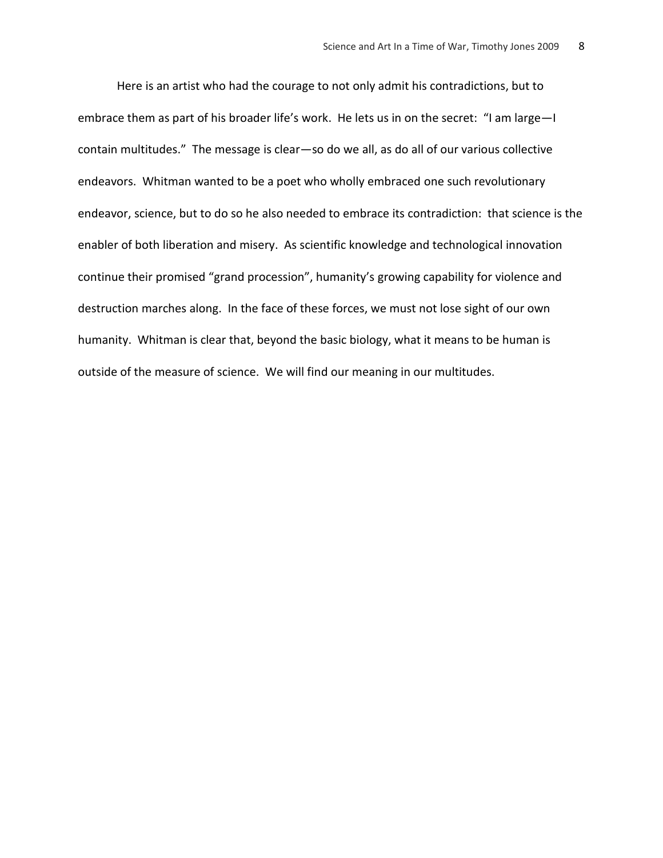Here is an artist who had the courage to not only admit his contradictions, but to embrace them as part of his broader life's work. He lets us in on the secret: "I am large-I contain multitudes." The message is clear—so do we all, as do all of our various collective endeavors. Whitman wanted to be a poet who wholly embraced one such revolutionary endeavor, science, but to do so he also needed to embrace its contradiction: that science is the enabler of both liberation and misery. As scientific knowledge and technological innovation continue their promised "grand procession", humanity's growing capability for violence and destruction marches along. In the face of these forces, we must not lose sight of our own humanity. Whitman is clear that, beyond the basic biology, what it means to be human is outside of the measure of science. We will find our meaning in our multitudes.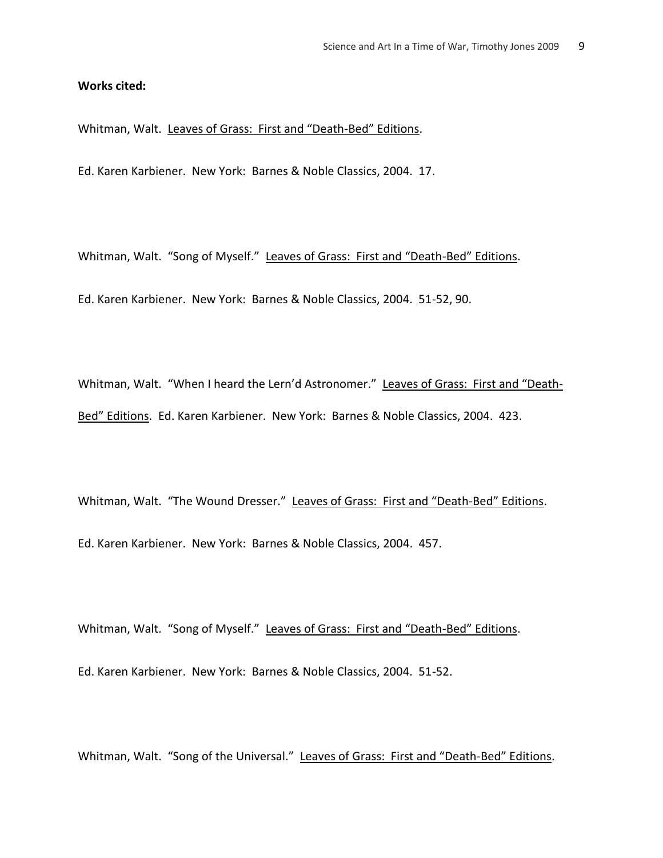## **Works cited:**

Whitman, Walt. Leaves of Grass: First and "Death-Bed" Editions.

Ed. Karen Karbiener. New York: Barnes & Noble Classics, 2004. 17.

Whitman, Walt. "Song of Myself." Leaves of Grass: First and "Death-Bed" Editions.

Ed. Karen Karbiener. New York: Barnes & Noble Classics, 2004. 51-52, 90.

Whitman, Walt. "When I heard the Lern'd Astronomer." Leaves of Grass: First and "Death-Bed" Editions. Ed. Karen Karbiener. New York: Barnes & Noble Classics, 2004. 423.

Whitman, Walt. "The Wound Dresser." Leaves of Grass: First and "Death-Bed" Editions. Ed. Karen Karbiener. New York: Barnes & Noble Classics, 2004. 457.

Whitman, Walt. "Song of Myself." Leaves of Grass: First and "Death-Bed" Editions.

Ed. Karen Karbiener. New York: Barnes & Noble Classics, 2004. 51-52.

Whitman, Walt. "Song of the Universal." Leaves of Grass: First and "Death-Bed" Editions.